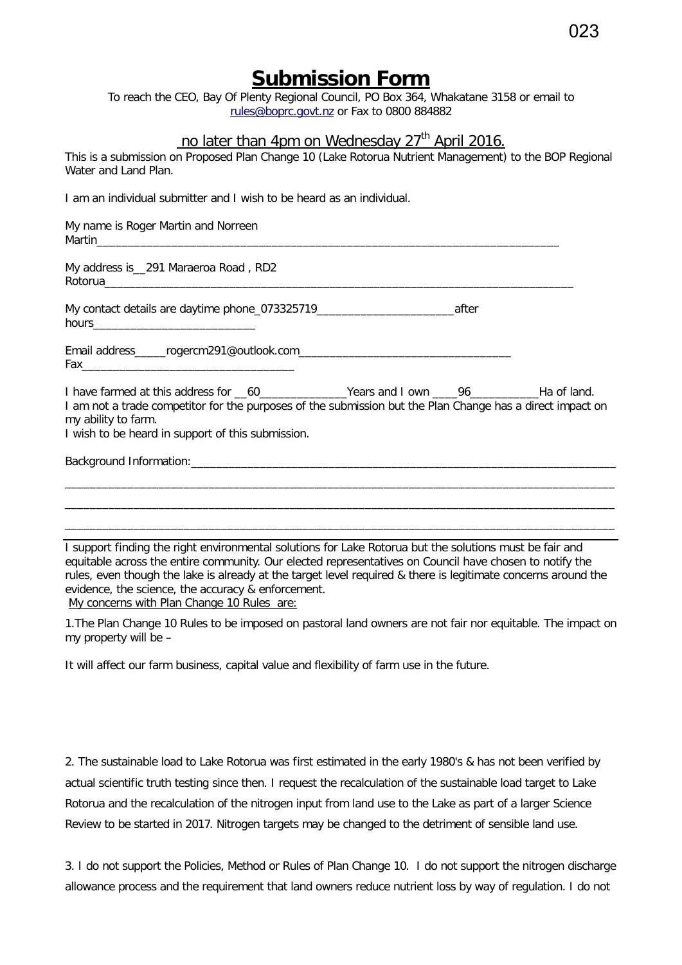## **Submission Form**

To reach the CEO, Bay Of Plenty Regional Council, PO Box 364, Whakatane 3158 or email to [rules@boprc.govt.nz](mailto:rules@boprc.govt.nz) or Fax to 0800 884882

## no later than 4pm on Wednesday  $27<sup>th</sup>$  April 2016.

This is a submission on Proposed Plan Change 10 (Lake Rotorua Nutrient Management) to the BOP Regional Water and Land Plan.

I am an individual submitter and I wish to be heard as an individual.

My name is Roger Martin and Norreen  $Martin$ My address is\_\_291 Maraeroa Road , RD2 Rotorua\_\_\_\_\_\_\_\_\_\_\_\_\_\_\_\_\_\_\_\_\_\_\_\_\_\_\_\_\_\_\_\_\_\_\_\_\_\_\_\_\_\_\_\_\_\_\_\_\_\_\_\_\_\_\_\_\_\_\_\_\_\_\_\_\_\_\_\_\_\_\_\_\_\_\_ My contact details are daytime phone 073325719 hours\_\_\_\_\_\_\_\_\_\_\_\_\_\_\_\_\_\_\_\_\_\_\_\_\_\_ Email address\_\_\_\_\_rogercm291@outlook.com  $Fax$ I have farmed at this address for \_\_60\_\_\_\_\_\_\_\_\_\_\_\_\_\_Years and I own \_\_\_\_96\_\_\_\_\_\_\_\_\_\_\_Ha of land. I am not a trade competitor for the purposes of the submission but the Plan Change has a direct impact on my ability to farm. I wish to be heard in support of this submission. Background Information: \_\_\_\_\_\_\_\_\_\_\_\_\_\_\_\_\_\_\_\_\_\_\_\_\_\_\_\_\_\_\_\_\_\_\_\_\_\_\_\_\_\_\_\_\_\_\_\_\_\_\_\_\_\_\_\_\_\_\_\_\_\_\_\_\_\_\_\_\_\_\_\_\_\_\_\_\_\_\_\_\_\_\_\_\_\_\_\_ \_\_\_\_\_\_\_\_\_\_\_\_\_\_\_\_\_\_\_\_\_\_\_\_\_\_\_\_\_\_\_\_\_\_\_\_\_\_\_\_\_\_\_\_\_\_\_\_\_\_\_\_\_\_\_\_\_\_\_\_\_\_\_\_\_\_\_\_\_\_\_\_\_\_\_\_\_\_\_\_\_\_\_\_\_\_\_\_ \_\_\_\_\_\_\_\_\_\_\_\_\_\_\_\_\_\_\_\_\_\_\_\_\_\_\_\_\_\_\_\_\_\_\_\_\_\_\_\_\_\_\_\_\_\_\_\_\_\_\_\_\_\_\_\_\_\_\_\_\_\_\_\_\_\_\_\_\_\_\_\_\_\_\_\_\_\_\_\_\_\_\_\_\_\_\_\_

I support finding the right environmental solutions for Lake Rotorua but the solutions must be fair and equitable across the entire community. Our elected representatives on Council have chosen to notify the rules, even though the lake is already at the target level required & there is legitimate concerns around the evidence, the science, the accuracy & enforcement. My concerns with Plan Change 10 Rules are:

1.The Plan Change 10 Rules to be imposed on pastoral land owners are not fair nor equitable. The impact on my property will be –

It will affect our farm business, capital value and flexibility of farm use in the future.

2. The sustainable load to Lake Rotorua was first estimated in the early 1980's & has not been verified by actual scientific truth testing since then. I request the recalculation of the sustainable load target to Lake Rotorua and the recalculation of the nitrogen input from land use to the Lake as part of a larger Science Review to be started in 2017. Nitrogen targets may be changed to the detriment of sensible land use.

3. I do not support the Policies, Method or Rules of Plan Change 10. I do not support the nitrogen discharge allowance process and the requirement that land owners reduce nutrient loss by way of regulation. I do not